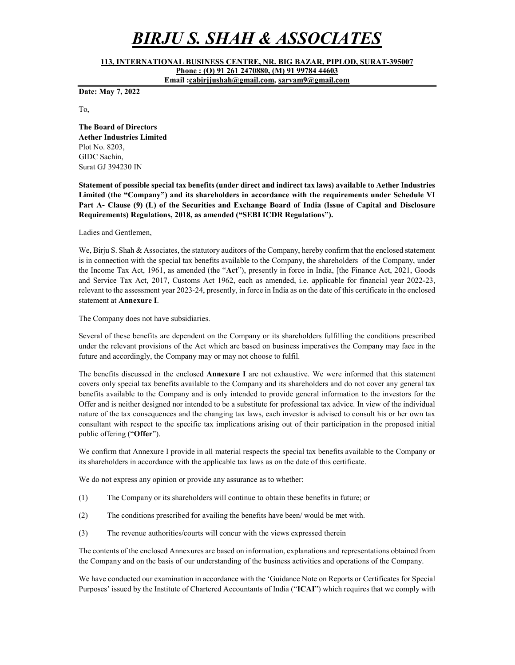# BIRJU S. SHAH & ASSOCIATES

113, INTERNATIONAL BUSINESS CENTRE, NR. BIG BAZAR, PIPLOD, SURAT-395007

Phone : (O) 91 261 2470880, (M) 91 99784 44603 Email :cabirjjushah@gmail.com, sarvam9@gmail.com

Date: May 7, 2022

To,

The Board of Directors Aether Industries Limited Plot No. 8203, GIDC Sachin, Surat GJ 394230 IN

Statement of possible special tax benefits (under direct and indirect tax laws) available to Aether Industries Limited (the "Company") and its shareholders in accordance with the requirements under Schedule VI Part A- Clause (9) (L) of the Securities and Exchange Board of India (Issue of Capital and Disclosure Requirements) Regulations, 2018, as amended ("SEBI ICDR Regulations").

Ladies and Gentlemen,

We, Birju S. Shah & Associates, the statutory auditors of the Company, hereby confirm that the enclosed statement is in connection with the special tax benefits available to the Company, the shareholders of the Company, under the Income Tax Act, 1961, as amended (the "Act"), presently in force in India, [the Finance Act, 2021, Goods and Service Tax Act, 2017, Customs Act 1962, each as amended, i.e. applicable for financial year 2022-23, relevant to the assessment year 2023-24, presently, in force in India as on the date of this certificate in the enclosed statement at Annexure I.

The Company does not have subsidiaries.

Several of these benefits are dependent on the Company or its shareholders fulfilling the conditions prescribed under the relevant provisions of the Act which are based on business imperatives the Company may face in the future and accordingly, the Company may or may not choose to fulfil.

The benefits discussed in the enclosed Annexure I are not exhaustive. We were informed that this statement covers only special tax benefits available to the Company and its shareholders and do not cover any general tax benefits available to the Company and is only intended to provide general information to the investors for the Offer and is neither designed nor intended to be a substitute for professional tax advice. In view of the individual nature of the tax consequences and the changing tax laws, each investor is advised to consult his or her own tax consultant with respect to the specific tax implications arising out of their participation in the proposed initial public offering ("Offer").

We confirm that Annexure I provide in all material respects the special tax benefits available to the Company or its shareholders in accordance with the applicable tax laws as on the date of this certificate.

We do not express any opinion or provide any assurance as to whether:

- (1) The Company or its shareholders will continue to obtain these benefits in future; or
- (2) The conditions prescribed for availing the benefits have been/ would be met with.
- (3) The revenue authorities/courts will concur with the views expressed therein

The contents of the enclosed Annexures are based on information, explanations and representations obtained from the Company and on the basis of our understanding of the business activities and operations of the Company.

We have conducted our examination in accordance with the 'Guidance Note on Reports or Certificates for Special Purposes' issued by the Institute of Chartered Accountants of India ("ICAI") which requires that we comply with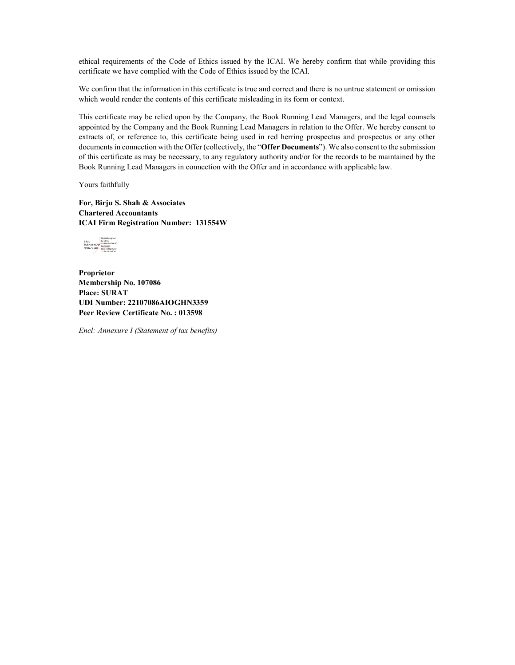ethical requirements of the Code of Ethics issued by the ICAI. We hereby confirm that while providing this certificate we have complied with the Code of Ethics issued by the ICAI.

We confirm that the information in this certificate is true and correct and there is no untrue statement or omission which would render the contents of this certificate misleading in its form or context.

This certificate may be relied upon by the Company, the Book Running Lead Managers, and the legal counsels appointed by the Company and the Book Running Lead Managers in relation to the Offer. We hereby consent to extracts of, or reference to, this certificate being used in red herring prospectus and prospectus or any other documents in connection with the Offer (collectively, the "Offer Documents"). We also consent to the submission of this certificate as may be necessary, to any regulatory authority and/or for the records to be maintained by the Book Running Lead Managers in connection with the Offer and in accordance with applicable law.

Yours faithfully

For, Birju S. Shah & Associates Chartered Accountants ICAI Firm Registration Number: 131554W



Proprietor Membership No. 107086 Place: SURAT UDI Number: 22107086AIOGHN3359 Peer Review Certificate No. : 013598

Encl: Annexure I (Statement of tax benefits)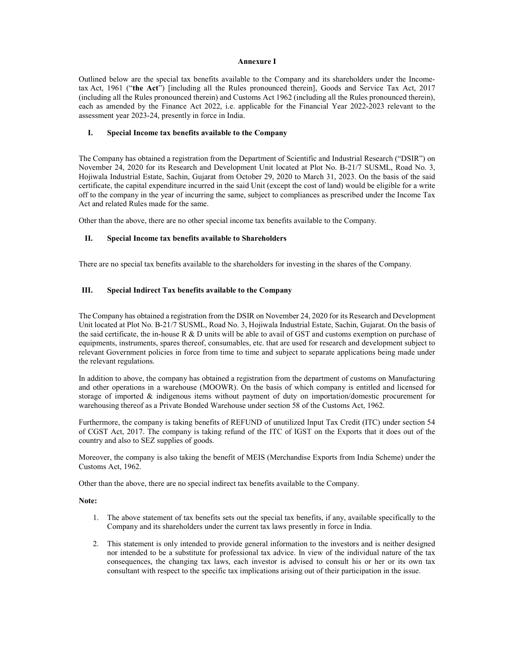#### Annexure I

Outlined below are the special tax benefits available to the Company and its shareholders under the Incometax Act, 1961 ("the Act") [including all the Rules pronounced therein], Goods and Service Tax Act, 2017 (including all the Rules pronounced therein) and Customs Act 1962 (including all the Rules pronounced therein), each as amended by the Finance Act 2022, i.e. applicable for the Financial Year 2022-2023 relevant to the assessment year 2023-24, presently in force in India.

#### I. Special Income tax benefits available to the Company

The Company has obtained a registration from the Department of Scientific and Industrial Research ("DSIR") on November 24, 2020 for its Research and Development Unit located at Plot No. B-21/7 SUSML, Road No. 3, Hojiwala Industrial Estate, Sachin, Gujarat from October 29, 2020 to March 31, 2023. On the basis of the said certificate, the capital expenditure incurred in the said Unit (except the cost of land) would be eligible for a write off to the company in the year of incurring the same, subject to compliances as prescribed under the Income Tax Act and related Rules made for the same.

Other than the above, there are no other special income tax benefits available to the Company.

## II. Special Income tax benefits available to Shareholders

There are no special tax benefits available to the shareholders for investing in the shares of the Company.

## III. Special Indirect Tax benefits available to the Company

The Company has obtained a registration from the DSIR on November 24, 2020 for its Research and Development Unit located at Plot No. B-21/7 SUSML, Road No. 3, Hojiwala Industrial Estate, Sachin, Gujarat. On the basis of the said certificate, the in-house R & D units will be able to avail of GST and customs exemption on purchase of equipments, instruments, spares thereof, consumables, etc. that are used for research and development subject to relevant Government policies in force from time to time and subject to separate applications being made under the relevant regulations.

In addition to above, the company has obtained a registration from the department of customs on Manufacturing and other operations in a warehouse (MOOWR). On the basis of which company is entitled and licensed for storage of imported & indigenous items without payment of duty on importation/domestic procurement for warehousing thereof as a Private Bonded Warehouse under section 58 of the Customs Act, 1962.

Furthermore, the company is taking benefits of REFUND of unutilized Input Tax Credit (ITC) under section 54 of CGST Act, 2017. The company is taking refund of the ITC of IGST on the Exports that it does out of the country and also to SEZ supplies of goods.

Moreover, the company is also taking the benefit of MEIS (Merchandise Exports from India Scheme) under the Customs Act, 1962.

Other than the above, there are no special indirect tax benefits available to the Company.

#### Note:

- 1. The above statement of tax benefits sets out the special tax benefits, if any, available specifically to the Company and its shareholders under the current tax laws presently in force in India.
- 2. This statement is only intended to provide general information to the investors and is neither designed nor intended to be a substitute for professional tax advice. In view of the individual nature of the tax consequences, the changing tax laws, each investor is advised to consult his or her or its own tax consultant with respect to the specific tax implications arising out of their participation in the issue.